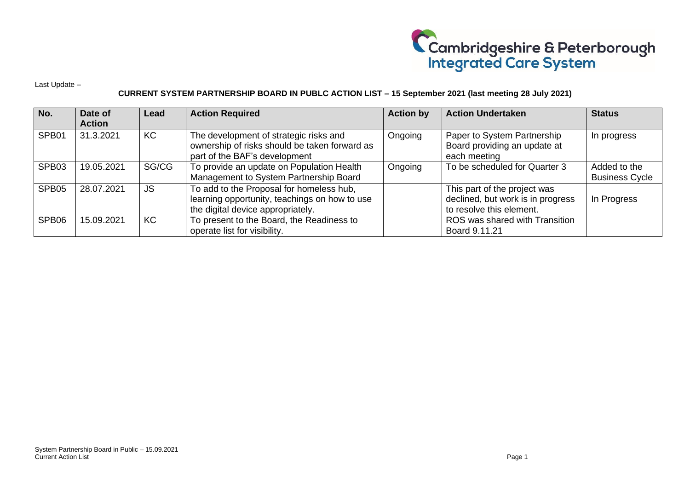

Last Update –

## **CURRENT SYSTEM PARTNERSHIP BOARD IN PUBLC ACTION LIST – 15 September 2021 (last meeting 28 July 2021)**

| No.               | Date of<br><b>Action</b> | Lead      | <b>Action Required</b>                                                                                                         | <b>Action by</b> | <b>Action Undertaken</b>                                                                      | <b>Status</b>                         |
|-------------------|--------------------------|-----------|--------------------------------------------------------------------------------------------------------------------------------|------------------|-----------------------------------------------------------------------------------------------|---------------------------------------|
| SPB <sub>01</sub> | 31.3.2021                | KC        | The development of strategic risks and<br>ownership of risks should be taken forward as<br>part of the BAF's development       | Ongoing          | Paper to System Partnership<br>Board providing an update at<br>each meeting                   | In progress                           |
| SPB03             | 19.05.2021               | SG/CG     | To provide an update on Population Health<br>Management to System Partnership Board                                            | Ongoing          | To be scheduled for Quarter 3                                                                 | Added to the<br><b>Business Cycle</b> |
| SPB05             | 28.07.2021               | <b>JS</b> | To add to the Proposal for homeless hub,<br>learning opportunity, teachings on how to use<br>the digital device appropriately. |                  | This part of the project was<br>declined, but work is in progress<br>to resolve this element. | In Progress                           |
| SPB06             | 15.09.2021               | KC        | To present to the Board, the Readiness to<br>operate list for visibility.                                                      |                  | ROS was shared with Transition<br>Board 9.11.21                                               |                                       |